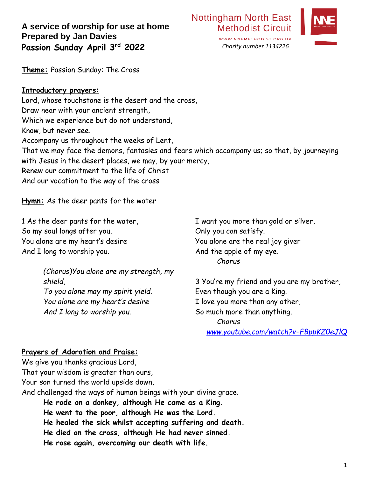**A service of worship for use at home Prepared by Jan Davies Passion Sunday April 3rd 2022**

**Theme:** Passion Sunday: The Cross

## **Introductory prayers:** Lord, whose touchstone is the desert and the cross, Draw near with your ancient strength, Which we experience but do not understand, Know, but never see. Accompany us throughout the weeks of Lent, That we may face the demons, fantasies and fears which accompany us; so that, by journeying with Jesus in the desert places, we may, by your mercy, Renew our commitment to the life of Christ And our vocation to the way of the cross

**Hymn:** As the deer pants for the water

1 As the deer pants for the water, So my soul longs after you. You alone are my heart's desire And I long to worship you.

> *(Chorus)You alone are my strength, my shield, To you alone may my spirit yield. You alone are my heart's desire And I long to worship you.*

I want you more than gold or silver, Only you can satisfy. You alone are the real joy giver And the apple of my eye. *Chorus*

3 You're my friend and you are my brother, Even though you are a King. I love you more than any other, So much more than anything. *Chorus [www.youtube.com/watch?v=FBppKZ0eJlQ](http://www.youtube.com/watch?v=FBppKZ0eJlQ)*

#### **Prayers of Adoration and Praise:**

We give you thanks gracious Lord, That your wisdom is greater than ours, Your son turned the world upside down, And challenged the ways of human beings with your divine grace. **He rode on a donkey, although He came as a King. He went to the poor, although He was the Lord. He healed the sick whilst accepting suffering and death. He died on the cross, although He had never sinned. He rose again, overcoming our death with life.**



WWW.NNEMETHODIST.ORG.UK *Charity number 1134226*

**Methodist Circuit** 

**Nottingham North East**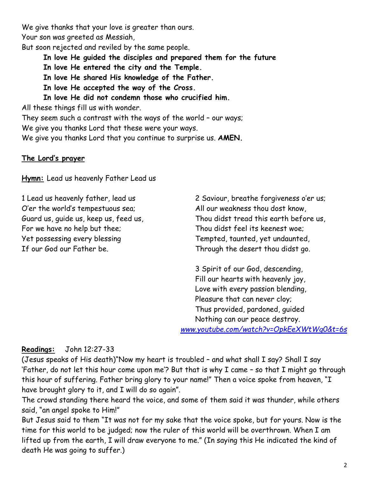We give thanks that your love is greater than ours.

Your son was greeted as Messiah,

But soon rejected and reviled by the same people.

- **In love He guided the disciples and prepared them for the future**
- **In love He entered the city and the Temple.**
- **In love He shared His knowledge of the Father.**
- **In love He accepted the way of the Cross.**
- **In love He did not condemn those who crucified him.**

All these things fill us with wonder.

They seem such a contrast with the ways of the world – our ways;

We give you thanks Lord that these were your ways.

We give you thanks Lord that you continue to surprise us. **AMEN.**

### **The Lord's prayer**

**Hymn:** Lead us heavenly Father Lead us

1 Lead us heavenly father, lead us O'er the world's tempestuous sea; Guard us, guide us, keep us, feed us, For we have no help but thee; Yet possessing every blessing If our God our Father be.

2 Saviour, breathe forgiveness o'er us; All our weakness thou dost know, Thou didst tread this earth before us, Thou didst feel its keenest woe; Tempted, taunted, yet undaunted, Through the desert thou didst go.

3 Spirit of our God, descending, Fill our hearts with heavenly joy, Love with every passion blending, Pleasure that can never cloy; Thus provided, pardoned, guided Nothing can our peace destroy.

*[www.youtube.com/watch?v=OpkEeXWtWg0&t=6s](http://www.youtube.com/watch?v=OpkEeXWtWg0&t=6s)*

### **Readings:** John 12:27-33

(Jesus speaks of His death)"Now my heart is troubled – and what shall I say? Shall I say 'Father, do not let this hour come upon me'? But that is why I came – so that I might go through this hour of suffering. Father bring glory to your name!" Then a voice spoke from heaven, "I have brought glory to it, and I will do so again".

The crowd standing there heard the voice, and some of them said it was thunder, while others said, "an angel spoke to Him!"

But Jesus said to them "It was not for my sake that the voice spoke, but for yours. Now is the time for this world to be judged; now the ruler of this world will be overthrown. When I am lifted up from the earth, I will draw everyone to me." (In saying this He indicated the kind of death He was going to suffer.)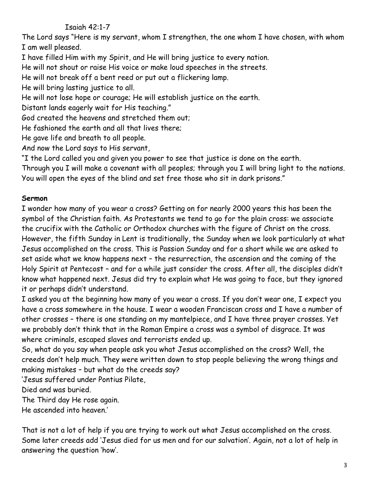Isaiah 42:1-7

The Lord says "Here is my servant, whom I strengthen, the one whom I have chosen, with whom I am well pleased.

I have filled Him with my Spirit, and He will bring justice to every nation.

He will not shout or raise His voice or make loud speeches in the streets.

He will not break off a bent reed or put out a flickering lamp.

He will bring lasting justice to all.

He will not lose hope or courage; He will establish justice on the earth.

Distant lands eagerly wait for His teaching."

God created the heavens and stretched them out;

He fashioned the earth and all that lives there;

He gave life and breath to all people.

And now the Lord says to His servant,

"I the Lord called you and given you power to see that justice is done on the earth.

Through you I will make a covenant with all peoples; through you I will bring light to the nations. You will open the eyes of the blind and set free those who sit in dark prisons."

# **Sermon**

I wonder how many of you wear a cross? Getting on for nearly 2000 years this has been the symbol of the Christian faith. As Protestants we tend to go for the plain cross: we associate the crucifix with the Catholic or Orthodox churches with the figure of Christ on the cross. However, the fifth Sunday in Lent is traditionally, the Sunday when we look particularly at what Jesus accomplished on the cross. This is Passion Sunday and for a short while we are asked to set aside what we know happens next – the resurrection, the ascension and the coming of the Holy Spirit at Pentecost – and for a while just consider the cross. After all, the disciples didn't know what happened next. Jesus did try to explain what He was going to face, but they ignored it or perhaps didn't understand.

I asked you at the beginning how many of you wear a cross. If you don't wear one, I expect you have a cross somewhere in the house. I wear a wooden Franciscan cross and I have a number of other crosses – there is one standing on my mantelpiece, and I have three prayer crosses. Yet we probably don't think that in the Roman Empire a cross was a symbol of disgrace. It was where criminals, escaped slaves and terrorists ended up.

So, what do you say when people ask you what Jesus accomplished on the cross? Well, the creeds don't help much. They were written down to stop people believing the wrong things and making mistakes – but what do the creeds say?

'Jesus suffered under Pontius Pilate,

Died and was buried.

The Third day He rose again.

He ascended into heaven.'

That is not a lot of help if you are trying to work out what Jesus accomplished on the cross. Some later creeds add 'Jesus died for us men and for our salvation'. Again, not a lot of help in answering the question 'how'.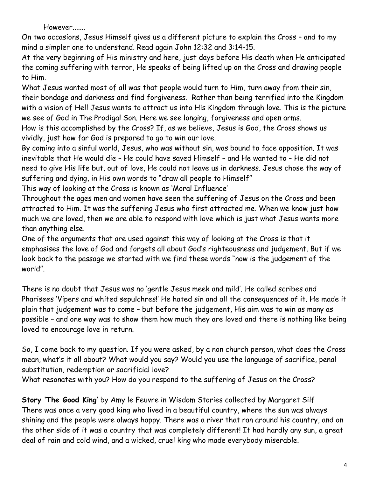However.......

On two occasions, Jesus Himself gives us a different picture to explain the Cross – and to my mind a simpler one to understand. Read again John 12:32 and 3:14-15.

At the very beginning of His ministry and here, just days before His death when He anticipated the coming suffering with terror, He speaks of being lifted up on the Cross and drawing people to Him.

What Jesus wanted most of all was that people would turn to Him, turn away from their sin, their bondage and darkness and find forgiveness. Rather than being terrified into the Kingdom with a vision of Hell Jesus wants to attract us into His Kingdom through love. This is the picture we see of God in The Prodigal Son. Here we see longing, forgiveness and open arms.

How is this accomplished by the Cross? If, as we believe, Jesus is God, the Cross shows us vividly, just how far God is prepared to go to win our love.

By coming into a sinful world, Jesus, who was without sin, was bound to face opposition. It was inevitable that He would die – He could have saved Himself – and He wanted to – He did not need to give His life but, out of love, He could not leave us in darkness. Jesus chose the way of suffering and dying, in His own words to "draw all people to Himself"

This way of looking at the Cross is known as 'Moral Influence'

Throughout the ages men and women have seen the suffering of Jesus on the Cross and been attracted to Him. It was the suffering Jesus who first attracted me. When we know just how much we are loved, then we are able to respond with love which is just what Jesus wants more than anything else.

One of the arguments that are used against this way of looking at the Cross is that it emphasises the love of God and forgets all about God's righteousness and judgement. But if we look back to the passage we started with we find these words "now is the judgement of the world".

There is no doubt that Jesus was no 'gentle Jesus meek and mild'. He called scribes and Pharisees 'Vipers and whited sepulchres!' He hated sin and all the consequences of it. He made it plain that judgement was to come – but before the judgement, His aim was to win as many as possible – and one way was to show them how much they are loved and there is nothing like being loved to encourage love in return.

So, I come back to my question. If you were asked, by a non church person, what does the Cross mean, what's it all about? What would you say? Would you use the language of sacrifice, penal substitution, redemption or sacrificial love?

What resonates with you? How do you respond to the suffering of Jesus on the Cross?

**Story 'The Good King'** by Amy le Feuvre in Wisdom Stories collected by Margaret Silf There was once a very good king who lived in a beautiful country, where the sun was always shining and the people were always happy. There was a river that ran around his country, and on the other side of it was a country that was completely different! It had hardly any sun, a great deal of rain and cold wind, and a wicked, cruel king who made everybody miserable.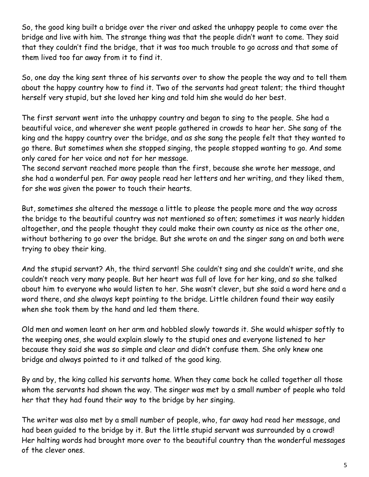So, the good king built a bridge over the river and asked the unhappy people to come over the bridge and live with him. The strange thing was that the people didn't want to come. They said that they couldn't find the bridge, that it was too much trouble to go across and that some of them lived too far away from it to find it.

So, one day the king sent three of his servants over to show the people the way and to tell them about the happy country how to find it. Two of the servants had great talent; the third thought herself very stupid, but she loved her king and told him she would do her best.

The first servant went into the unhappy country and began to sing to the people. She had a beautiful voice, and wherever she went people gathered in crowds to hear her. She sang of the king and the happy country over the bridge, and as she sang the people felt that they wanted to go there. But sometimes when she stopped singing, the people stopped wanting to go. And some only cared for her voice and not for her message.

The second servant reached more people than the first, because she wrote her message, and she had a wonderful pen. Far away people read her letters and her writing, and they liked them, for she was given the power to touch their hearts.

But, sometimes she altered the message a little to please the people more and the way across the bridge to the beautiful country was not mentioned so often; sometimes it was nearly hidden altogether, and the people thought they could make their own county as nice as the other one, without bothering to go over the bridge. But she wrote on and the singer sang on and both were trying to obey their king.

And the stupid servant? Ah, the third servant! She couldn't sing and she couldn't write, and she couldn't reach very many people. But her heart was full of love for her king, and so she talked about him to everyone who would listen to her. She wasn't clever, but she said a word here and a word there, and she always kept pointing to the bridge. Little children found their way easily when she took them by the hand and led them there.

Old men and women leant on her arm and hobbled slowly towards it. She would whisper softly to the weeping ones, she would explain slowly to the stupid ones and everyone listened to her because they said she was so simple and clear and didn't confuse them. She only knew one bridge and always pointed to it and talked of the good king.

By and by, the king called his servants home. When they came back he called together all those whom the servants had shown the way. The singer was met by a small number of people who told her that they had found their way to the bridge by her singing.

The writer was also met by a small number of people, who, far away had read her message, and had been guided to the bridge by it. But the little stupid servant was surrounded by a crowd! Her halting words had brought more over to the beautiful country than the wonderful messages of the clever ones.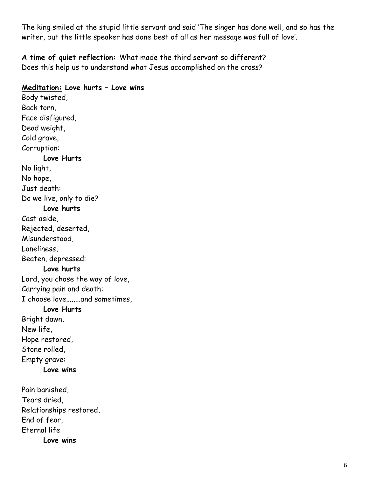The king smiled at the stupid little servant and said 'The singer has done well, and so has the writer, but the little speaker has done best of all as her message was full of love'.

**A time of quiet reflection:** What made the third servant so different? Does this help us to understand what Jesus accomplished on the cross?

**Meditation: Love hurts – Love wins** Body twisted, Back torn, Face disfigured, Dead weight, Cold grave, Corruption: **Love Hurts** No light, No hope, Just death: Do we live, only to die? **Love hurts** Cast aside, Rejected, deserted, Misunderstood, Loneliness, Beaten, depressed: **Love hurts** Lord, you chose the way of love, Carrying pain and death: I choose love........and sometimes, **Love Hurts** Bright dawn, New life, Hope restored, Stone rolled, Empty grave: **Love wins** Pain banished, Tears dried, Relationships restored,

End of fear,

Eternal life

**Love wins**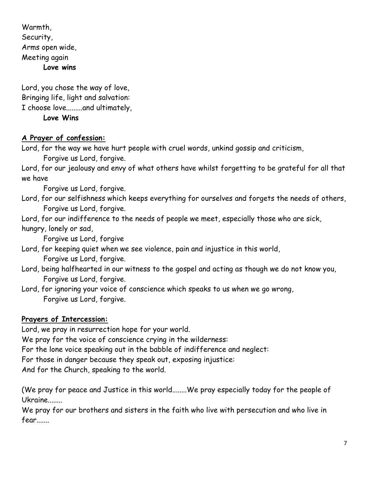Warmth, Security, Arms open wide, Meeting again **Love wins**

Lord, you chose the way of love, Bringing life, light and salvation: I choose love.........and ultimately,

**Love Wins**

# **A Prayer of confession:**

Lord, for the way we have hurt people with cruel words, unkind gossip and criticism,

Forgive us Lord, forgive.

Lord, for our jealousy and envy of what others have whilst forgetting to be grateful for all that we have

Forgive us Lord, forgive.

- Lord, for our selfishness which keeps everything for ourselves and forgets the needs of others, Forgive us Lord, forgive.
- Lord, for our indifference to the needs of people we meet, especially those who are sick,
- hungry, lonely or sad,

Forgive us Lord, forgive

- Lord, for keeping quiet when we see violence, pain and injustice in this world, Forgive us Lord, forgive.
- Lord, being halfhearted in our witness to the gospel and acting as though we do not know you, Forgive us Lord, forgive.
- Lord, for ignoring your voice of conscience which speaks to us when we go wrong, Forgive us Lord, forgive.

## **Prayers of Intercession:**

Lord, we pray in resurrection hope for your world.

We pray for the voice of conscience crying in the wilderness:

For the lone voice speaking out in the babble of indifference and neglect:

For those in danger because they speak out, exposing injustice:

And for the Church, speaking to the world.

(We pray for peace and Justice in this world........We pray especially today for the people of Ukraine........

We pray for our brothers and sisters in the faith who live with persecution and who live in fear.......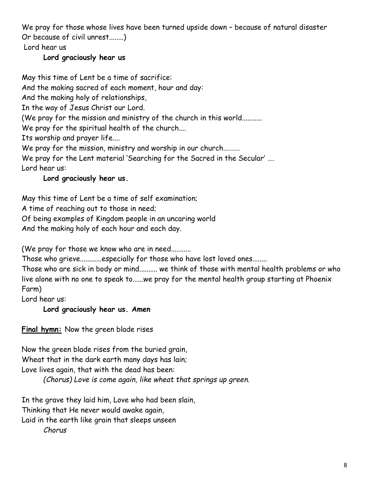We pray for those whose lives have been turned upside down – because of natural disaster Or because of civil unrest........)

Lord hear us

## **Lord graciously hear us**

May this time of Lent be a time of sacrifice: And the making sacred of each moment, hour and day: And the making holy of relationships, In the way of Jesus Christ our Lord. (We pray for the mission and ministry of the church in this world........... We pray for the spiritual health of the church.... Its worship and prayer life.... We pray for the mission, ministry and worship in our church.......... We pray for the Lent material 'Searching for the Sacred in the Secular' …. Lord hear us:

### **Lord graciously hear us.**

May this time of Lent be a time of self examination;

A time of reaching out to those in need;

Of being examples of Kingdom people in an uncaring world

And the making holy of each hour and each day.

(We pray for those we know who are in need...........

Those who grieve............especially for those who have lost loved ones........

Those who are sick in body or mind.......... we think of those with mental health problems or who live alone with no one to speak to......we pray for the mental health group starting at Phoenix Farm)

Lord hear us:

### **Lord graciously hear us. Amen**

**Final hymn:** Now the green blade rises

Now the green blade rises from the buried grain, Wheat that in the dark earth many days has lain; Love lives again, that with the dead has been: *(Chorus) Love is come again, like wheat that springs up green.*

In the grave they laid him, Love who had been slain, Thinking that He never would awake again, Laid in the earth like grain that sleeps unseen *Chorus*